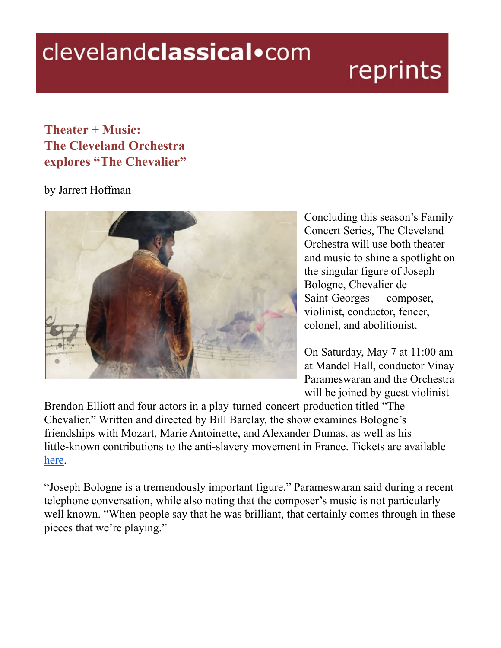## clevelandclassical.com

## reprints

## $$ **The Cleveland Orchestra explores "The Chevalier"**

## by Jarrett Hoffman



Concluding this season's Family Concert Series, The Cleveland Orchestra will use both theater and music to shine a spotlight on the singular figure of Joseph Bologne, Chevalier de Saint-Georges — composer, violinist, conductor, fencer, colonel, and abolitionist.

On Saturday, May 7 at 11:00 am at Mandel Hall, conductor Vinay Parameswaran and the Orchestra will be joined by guest violinist

Brendon Elliott and four actors in a play-turned-concert-production titled "The Chevalier." Written and directed by Bill Barclay, the show examines Bologne's friendships with Mozart, Marie Antoinette, and Alexander Dumas, as well as his little-known contributions to the anti-slavery movement in France. Tickets are available [here](https://www.clevelandorchestra.com/attend/concerts-and-events/2122/family/wk-02-the-chevalier/?performanceNumber=21065).

"Joseph Bologne is a tremendously important figure," Parameswaran said during a recent telephone conversation, while also noting that the composer's music is not particularly well known. "When people say that he was brilliant, that certainly comes through in these pieces that we're playing."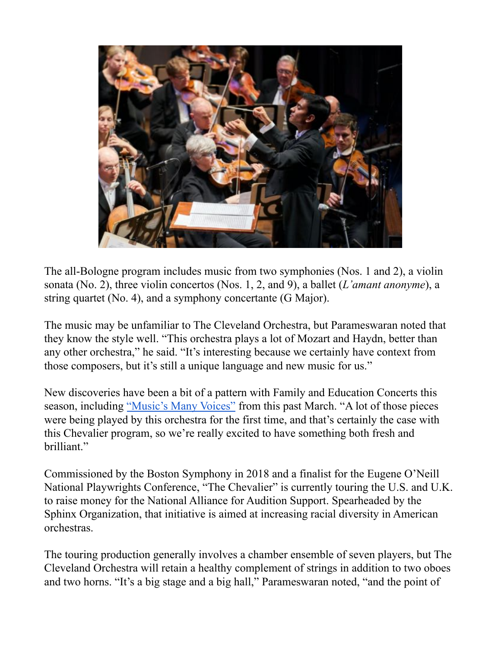

The all-Bologne program includes music from two symphonies (Nos. 1 and 2), a violin sonata (No. 2), three violin concertos (Nos. 1, 2, and 9), a ballet (*L'amant anonyme*), a string quartet (No. 4), and a symphony concertante (G Major).

The music may be unfamiliar to The Cleveland Orchestra, but Parameswaran noted that they know the style well. "This orchestra plays a lot of Mozart and Haydn, better than any other orchestra," he said. "It's interesting because we certainly have context from those composers, but it's still a unique language and new music for us."

New discoveries have been a bit of a pattern with Family and Education Concerts this season, including "Music's Many Voices" from this past March. "A lot of those pieces were being played by this orchestra for the first time, and that's certainly the case with this Chevalier program, so we're really excited to have something both fresh and brilliant.´

Commissioned by the Boston Symphony in 2018 and a finalist for the Eugene O'Neill National Playwrights Conference, "The Chevalier" is currently touring the U.S. and U.K. to raise money for the National Alliance for Audition Support. Spearheaded by the Sphinx Organization, that initiative is aimed at increasing racial diversity in American orchestras.

The touring production generally involves a chamber ensemble of seven players, but The Cleveland Orchestra will retain a healthy complement of strings in addition to two oboes and two horns. "It's a big stage and a big hall," Parameswaran noted, "and the point of